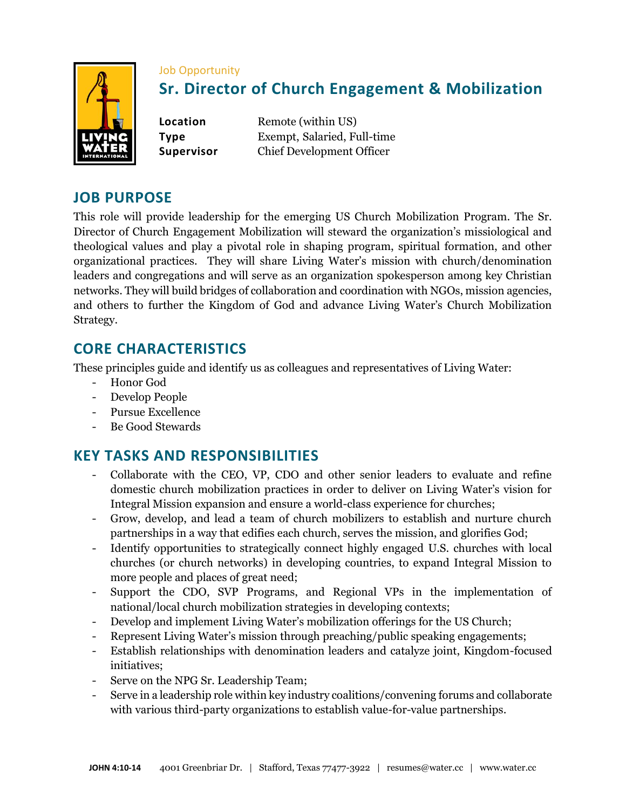

#### Job Opportunity

# **Sr. Director of Church Engagement & Mobilization**

**Location** Remote (within US) **Type** Exempt, Salaried, Full-time **Supervisor** Chief Development Officer

### **JOB PURPOSE**

This role will provide leadership for the emerging US Church Mobilization Program. The Sr. Director of Church Engagement Mobilization will steward the organization's missiological and theological values and play a pivotal role in shaping program, spiritual formation, and other organizational practices. They will share Living Water's mission with church/denomination leaders and congregations and will serve as an organization spokesperson among key Christian networks. They will build bridges of collaboration and coordination with NGOs, mission agencies, and others to further the Kingdom of God and advance Living Water's Church Mobilization Strategy.

# **CORE CHARACTERISTICS**

These principles guide and identify us as colleagues and representatives of Living Water:

- Honor God
- Develop People
- Pursue Excellence
- Be Good Stewards

## **KEY TASKS AND RESPONSIBILITIES**

- Collaborate with the CEO, VP, CDO and other senior leaders to evaluate and refine domestic church mobilization practices in order to deliver on Living Water's vision for Integral Mission expansion and ensure a world-class experience for churches;
- Grow, develop, and lead a team of church mobilizers to establish and nurture church partnerships in a way that edifies each church, serves the mission, and glorifies God;
- Identify opportunities to strategically connect highly engaged U.S. churches with local churches (or church networks) in developing countries, to expand Integral Mission to more people and places of great need;
- Support the CDO, SVP Programs, and Regional VPs in the implementation of national/local church mobilization strategies in developing contexts;
- Develop and implement Living Water's mobilization offerings for the US Church;
- Represent Living Water's mission through preaching/public speaking engagements;
- Establish relationships with denomination leaders and catalyze joint, Kingdom-focused initiatives;
- Serve on the NPG Sr. Leadership Team;
- Serve in a leadership role within key industry coalitions/convening forums and collaborate with various third-party organizations to establish value-for-value partnerships.